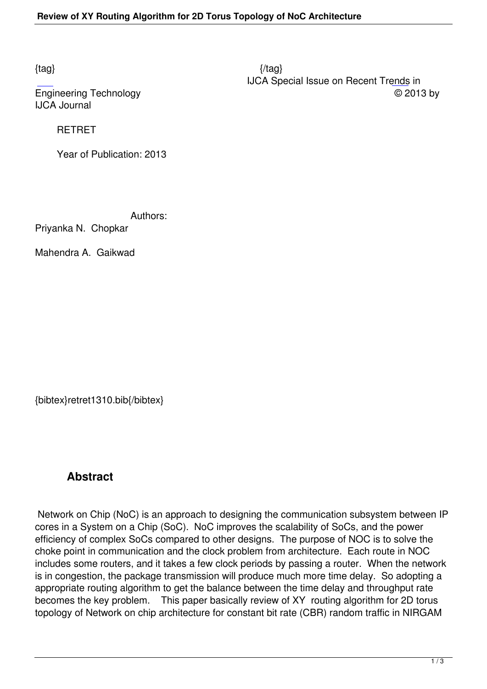IJCA Journal

## RETRET

Year of Publication: 2013

Authors:

Priyanka N. Chopkar

Mahendra A. Gaikwad

{bibtex}retret1310.bib{/bibtex}

## **Abstract**

 Network on Chip (NoC) is an approach to designing the communication subsystem between IP cores in a System on a Chip (SoC). NoC improves the scalability of SoCs, and the power efficiency of complex SoCs compared to other designs. The purpose of NOC is to solve the choke point in communication and the clock problem from architecture. Each route in NOC includes some routers, and it takes a few clock periods by passing a router. When the network is in congestion, the package transmission will produce much more time delay. So adopting a appropriate routing algorithm to get the balance between the time delay and throughput rate becomes the key problem. This paper basically review of XY routing algorithm for 2D torus topology of Network on chip architecture for constant bit rate (CBR) random traffic in NIRGAM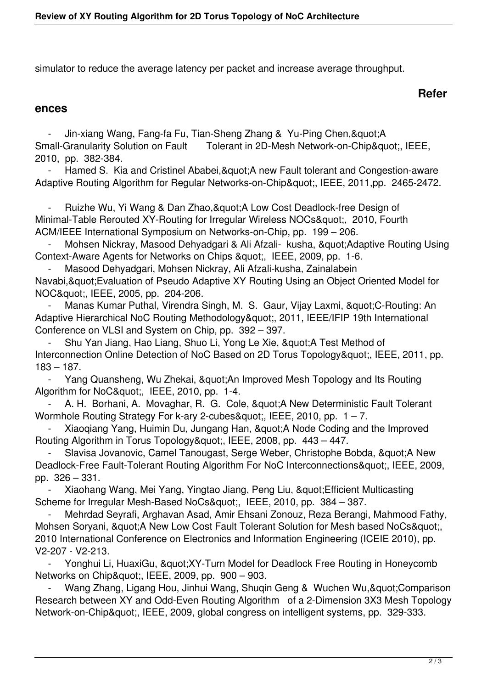simulator to reduce the average latency per packet and increase average throughput.

## **Refer**

## **ences**

Jin-xiang Wang, Fang-fa Fu, Tian-Sheng Zhang & Yu-Ping Chen, & quot; A Small-Granularity Solution on Fault Tolerant in 2D-Mesh Network-on-Chip", IEEE, 2010, pp. 382-384.

Hamed S. Kia and Cristinel Ababei, & quot; A new Fault tolerant and Congestion-aware Adaptive Routing Algorithm for Regular Networks-on-Chip", IEEE, 2011,pp. 2465-2472.

Ruizhe Wu, Yi Wang & Dan Zhao, & quot; A Low Cost Deadlock-free Design of Minimal-Table Rerouted XY-Routing for Irregular Wireless NOCs", 2010, Fourth ACM/IEEE International Symposium on Networks-on-Chip, pp. 199 – 206.

Mohsen Nickray, Masood Dehyadgari & Ali Afzali- kusha, " Adaptive Routing Using Context-Aware Agents for Networks on Chips & quot;, IEEE, 2009, pp. 1-6.

- Masood Dehyadgari, Mohsen Nickray, Ali Afzali-kusha, Zainalabein

Navabi, & quot; Evaluation of Pseudo Adaptive XY Routing Using an Object Oriented Model for NOC", IEEE, 2005, pp. 204-206.

Manas Kumar Puthal, Virendra Singh, M. S. Gaur, Vijay Laxmi, " C-Routing: An Adaptive Hierarchical NoC Routing Methodology", 2011, IEEE/IFIP 19th International Conference on VLSI and System on Chip, pp. 392 – 397.

Shu Yan Jiang, Hao Liang, Shuo Li, Yong Le Xie, " A Test Method of Interconnection Online Detection of NoC Based on 2D Torus Topology&quot:, IEEE, 2011, pp. 183 – 187.

- Yang Quansheng, Wu Zhekai, & quot; An Improved Mesh Topology and Its Routing Algorithm for NoC", IEEE, 2010, pp. 1-4.

A. H. Borhani, A. Movaghar, R. G. Cole, " A New Deterministic Fault Tolerant Wormhole Routing Strategy For k-ary 2-cubes & quot:, IEEE, 2010, pp.  $1 - 7$ .

Xiaoqiang Yang, Huimin Du, Jungang Han, " A Node Coding and the Improved Routing Algorithm in Torus Topology", IEEE, 2008, pp. 443 - 447.

Slavisa Jovanovic, Camel Tanougast, Serge Weber, Christophe Bobda, "A New Deadlock-Free Fault-Tolerant Routing Algorithm For NoC Interconnections&quot:, IEEE, 2009, pp. 326 – 331.

Xiaohang Wang, Mei Yang, Yingtao Jiang, Peng Liu, " Efficient Multicasting Scheme for Irregular Mesh-Based NoCs", IEEE, 2010, pp. 384 - 387.

 - Mehrdad Seyrafi, Arghavan Asad, Amir Ehsani Zonouz, Reza Berangi, Mahmood Fathy, Mohsen Soryani, " A New Low Cost Fault Tolerant Solution for Mesh based NoCs" 2010 International Conference on Electronics and Information Engineering (ICEIE 2010), pp. V2-207 - V2-213.

Yonghui Li, HuaxiGu, " XY-Turn Model for Deadlock Free Routing in Honeycomb Networks on Chip", IEEE, 2009, pp. 900 – 903.

Wang Zhang, Ligang Hou, Jinhui Wang, Shuqin Geng & Wuchen Wu, & quot; Comparison Research between XY and Odd-Even Routing Algorithm of a 2-Dimension 3X3 Mesh Topology Network-on-Chip", IEEE, 2009, global congress on intelligent systems, pp. 329-333.